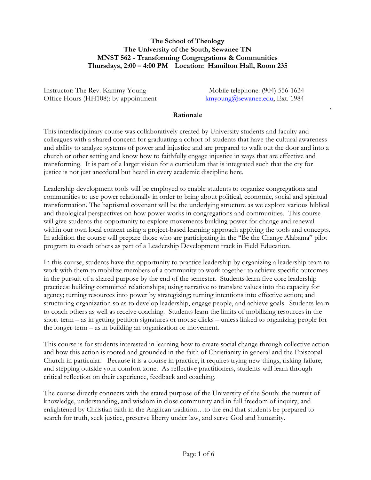### **The School of Theology The University of the South, Sewanee TN MNST 562 - Transforming Congregations & Communities Thursdays, 2:00 – 4:00 PM Location: Hamilton Hall, Room 235**

Instructor: The Rev. Kammy Young Mobile telephone: (904) 556-1634 Office Hours (HH108): by appointment kmyoung@sewanee.edu, Ext. 1984

,

#### **Rationale**

This interdisciplinary course was collaboratively created by University students and faculty and colleagues with a shared concern for graduating a cohort of students that have the cultural awareness and ability to analyze systems of power and injustice and are prepared to walk out the door and into a church or other setting and know how to faithfully engage injustice in ways that are effective and transforming. It is part of a larger vision for a curriculum that is integrated such that the cry for justice is not just anecdotal but heard in every academic discipline here.

Leadership development tools will be employed to enable students to organize congregations and communities to use power relationally in order to bring about political, economic, social and spiritual transformation. The baptismal covenant will be the underlying structure as we explore various biblical and theological perspectives on how power works in congregations and communities. This course will give students the opportunity to explore movements building power for change and renewal within our own local context using a project-based learning approach applying the tools and concepts. In addition the course will prepare those who are participating in the "Be the Change Alabama" pilot program to coach others as part of a Leadership Development track in Field Education.

In this course, students have the opportunity to practice leadership by organizing a leadership team to work with them to mobilize members of a community to work together to achieve specific outcomes in the pursuit of a shared purpose by the end of the semester. Students learn five core leadership practices: building committed relationships; using narrative to translate values into the capacity for agency; turning resources into power by strategizing; turning intentions into effective action; and structuring organization so as to develop leadership, engage people, and achieve goals. Students learn to coach others as well as receive coaching. Students learn the limits of mobilizing resources in the short-term – as in getting petition signatures or mouse clicks – unless linked to organizing people for the longer-term – as in building an organization or movement.

This course is for students interested in learning how to create social change through collective action and how this action is rooted and grounded in the faith of Christianity in general and the Episcopal Church in particular. Because it is a course in practice, it requires trying new things, risking failure, and stepping outside your comfort zone. As reflective practitioners, students will learn through critical reflection on their experience, feedback and coaching.

The course directly connects with the stated purpose of the University of the South: the pursuit of knowledge, understanding, and wisdom in close community and in full freedom of inquiry, and enlightened by Christian faith in the Anglican tradition…to the end that students be prepared to search for truth, seek justice, preserve liberty under law, and serve God and humanity.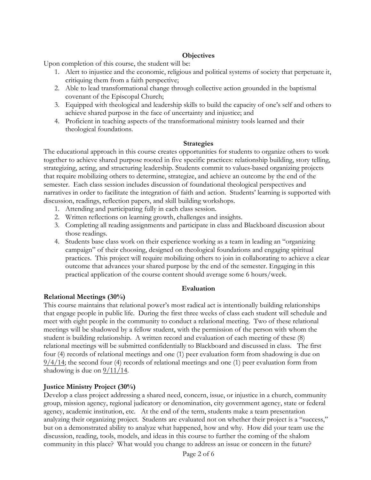## **Objectives**

Upon completion of this course, the student will be:

- 1. Alert to injustice and the economic, religious and political systems of society that perpetuate it, critiquing them from a faith perspective;
- 2. Able to lead transformational change through collective action grounded in the baptismal covenant of the Episcopal Church;
- 3. Equipped with theological and leadership skills to build the capacity of one's self and others to achieve shared purpose in the face of uncertainty and injustice; and
- 4. Proficient in teaching aspects of the transformational ministry tools learned and their theological foundations.

### **Strategies**

The educational approach in this course creates opportunities for students to organize others to work together to achieve shared purpose rooted in five specific practices: relationship building, story telling, strategizing, acting, and structuring leadership. Students commit to values-based organizing projects that require mobilizing others to determine, strategize, and achieve an outcome by the end of the semester. Each class session includes discussion of foundational theological perspectives and narratives in order to facilitate the integration of faith and action. Students' learning is supported with discussion, readings, reflection papers, and skill building workshops.

- 1. Attending and participating fully in each class session.
- 2. Written reflections on learning growth, challenges and insights.
- 3. Completing all reading assignments and participate in class and Blackboard discussion about those readings.
- 4. Students base class work on their experience working as a team in leading an "organizing campaign" of their choosing, designed on theological foundations and engaging spiritual practices. This project will require mobilizing others to join in collaborating to achieve a clear outcome that advances your shared purpose by the end of the semester. Engaging in this practical application of the course content should average some 6 hours/week.

### **Evaluation**

### **Relational Meetings (30%)**

This course maintains that relational power's most radical act is intentionally building relationships that engage people in public life. During the first three weeks of class each student will schedule and meet with eight people in the community to conduct a relational meeting. Two of these relational meetings will be shadowed by a fellow student, with the permission of the person with whom the student is building relationship. A written record and evaluation of each meeting of these (8) relational meetings will be submitted confidentially to Blackboard and discussed in class. The first four (4) records of relational meetings and one (1) peer evaluation form from shadowing is due on  $9/4/14$ ; the second four (4) records of relational meetings and one (1) peer evaluation form from shadowing is due on 9/11/14.

# **Justice Ministry Project (30%)**

Develop a class project addressing a shared need, concern, issue, or injustice in a church, community group, mission agency, regional judicatory or denomination, city government agency, state or federal agency, academic institution, etc. At the end of the term, students make a team presentation analyzing their organizing project. Students are evaluated not on whether their project is a "success," but on a demonstrated ability to analyze what happened, how and why. How did your team use the discussion, reading, tools, models, and ideas in this course to further the coming of the shalom community in this place? What would you change to address an issue or concern in the future?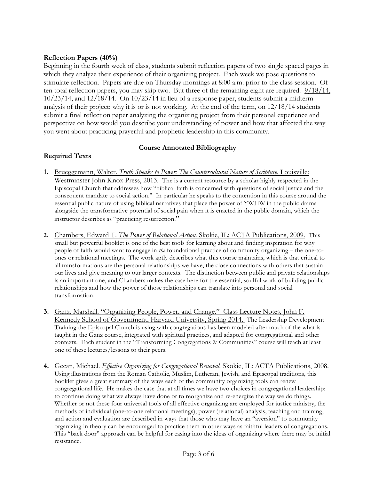### **Reflection Papers (40%)**

Beginning in the fourth week of class, students submit reflection papers of two single spaced pages in which they analyze their experience of their organizing project. Each week we pose questions to stimulate reflection. Papers are due on Thursday mornings at 8:00 a.m. prior to the class session. Of ten total reflection papers, you may skip two. But three of the remaining eight are required: 9/18/14,  $10/23/14$ , and  $12/18/14$ . On  $10/23/14$  in lieu of a response paper, students submit a midterm analysis of their project: why it is or is not working. At the end of the term, on 12/18/14 students submit a final reflection paper analyzing the organizing project from their personal experience and perspective on how would you describe your understanding of power and how that affected the way you went about practicing prayerful and prophetic leadership in this community.

## **Course Annotated Bibliography**

# **Required Texts**

- **1.** Brueggemann, Walter. *Truth Speaks to Power: The Countercultural Nature of Scripture*. Louisville: Westminster John Knox Press, 2013. The is a current resource by a scholar highly respected in the Episcopal Church that addresses how "biblical faith is concerned with questions of social justice and the consequent mandate to social action." In particular he speaks to the contention in this course around the essential public nature of using biblical narratives that place the power of YWHW in the public drama alongside the transformative potential of social pain when it is enacted in the public domain, which the instructor describes as "practicing resurrection."
- **2.** Chambers, Edward T. *The Power of Relational Action.* Skokie, IL: ACTA Publications, 2009. This small but powerful booklet is one of the best tools for learning about and finding inspiration for why people of faith would want to engage in *the* foundational practice of community organizing – the one-toones or relational meetings. The work aptly describes what this course maintains, which is that critical to all transformations are the personal relationships we have, the close connections with others that sustain our lives and give meaning to our larger contexts. The distinction between public and private relationships is an important one, and Chambers makes the case here for the essential, soulful work of building public relationships and how the power of those relationships can translate into personal and social transformation.
- **3.** Ganz, Marshall. "Organizing People, Power, and Change." Class Lecture Notes, John F. Kennedy School of Government, Harvard University, Spring 2014. The Leadership Development Training the Episcopal Church is using with congregations has been modeled after much of the what is taught in the Ganz course, integrated with spiritual practices, and adapted for congregational and other contexts. Each student in the "Transforming Congregations & Communities" course will teach at least one of these lectures/lessons to their peers.
- **4.** Gecan, Michael. *Effective Organizing for Congregational Renewal.* Skokie, IL: ACTA Publications, 2008. Using illustrations from the Roman Catholic, Muslim, Lutheran, Jewish, and Episcopal traditions, this booklet gives a great summary of the ways each of the community organizing tools can renew congregational life. He makes the case that at all times we have two choices in congregational leadership: to continue doing what we always have done or to reorganize and re-energize the way we do things. Whether or not these four universal tools of all effective organizing are employed for justice ministry, the methods of individual (one-to-one relational meetings), power (relational) analysis, teaching and training, and action and evaluation are described in ways that those who may have an "aversion" to community organizing in theory can be encouraged to practice them in other ways as faithful leaders of congregations. This "back door" approach can be helpful for easing into the ideas of organizing where there may be initial resistance.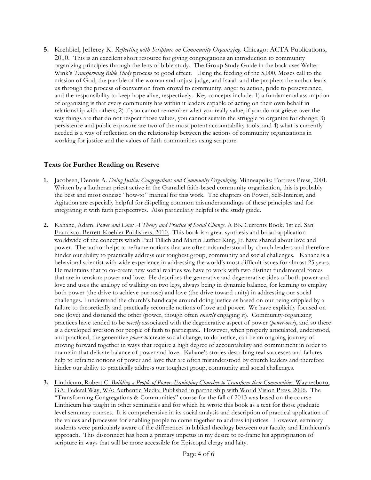**5.** Krehbiel, Jefferey K. *Reflecting with Scripture on Community Organizing*. Chicago: ACTA Publications, 2010. This is an excellent short resource for giving congregations an introduction to community organizing principles through the lens of bible study. The Group Study Guide in the back uses Walter Wink's *Transforming Bible Study* process to good effect. Using the feeding of the 5,000, Moses call to the mission of God, the parable of the woman and unjust judge, and Isaiah and the prophets the author leads us through the process of conversion from crowd to community, anger to action, pride to perseverance, and the responsibility to keep hope alive, respectively. Key concepts include: 1) a fundamental assumption of organizing is that every community has within it leaders capable of acting on their own behalf in relationship with others; 2) if you cannot remember what you really value, if you do not grieve over the way things are that do not respect those values, you cannot sustain the struggle to organize for change; 3) persistence and public exposure are two of the most potent accountability tools; and 4) what is currently needed is a way of reflection on the relationship between the actions of community organizations in working for justice and the values of faith communities using scripture.

## **Texts for Further Reading on Reserve**

- **1.** Jacobsen, Dennis A. *Doing Justice: Congregations and Community Organizing*. Minneapolis: Fortress Press, 2001. Written by a Lutheran priest active in the Gamaliel faith-based community organization, this is probably the best and most concise "how-to" manual for this work. The chapters on Power, Self-Interest, and Agitation are especially helpful for dispelling common misunderstandings of these principles and for integrating it with faith perspectives. Also particularly helpful is the study guide.
- **2.** Kahane, Adam. *Power and Love: A Theory and Practice of Social Change*. A BK Currents Book. 1st ed. San Francisco: Berrett-Koehler Publishers, 2010. This book is a great synthesis and broad application worldwide of the concepts which Paul Tillich and Martin Luther King, Jr. have shared about love and power. The author helps to reframe notions that are often misunderstood by church leaders and therefore hinder our ability to practically address our toughest group, community and social challenges. Kahane is a behavioral scientist with wide experience in addressing the world's most difficult issues for almost 25 years. He maintains that to co-create new social realities we have to work with two distinct fundamental forces that are in tension: power and love. He describes the generative and degenerative sides of both power and love and uses the analogy of walking on two legs, always being in dynamic balance, for learning to employ both power (the drive to achieve purpose) and love (the drive toward unity) in addressing our social challenges. I understand the church's handicaps around doing justice as based on our being crippled by a failure to theoretically and practically reconcile notions of love and power. We have explicitly focused on one (love) and distained the other (power, though often *covertly* engaging it). Community-organizing practices have tended to be *overtly* associated with the degenerative aspect of power (*power-over*), and so there is a developed aversion for people of faith to participate. However, when properly articulated, understood, and practiced, the generative *power-to* create social change, to do justice, can be an ongoing journey of moving forward together in ways that require a high degree of accountability and commitment in order to maintain that delicate balance of power and love. Kahane's stories describing real successes and failures help to reframe notions of power and love that are often misunderstood by church leaders and therefore hinder our ability to practically address our toughest group, community and social challenges.
- **3.** Linthicum, Robert C. *Building a People of Power: Equipping Churches to Transform their Communities*. Waynesboro, GA; Federal Way, WA: Authentic Media; Published in partnership with World Vision Press, 2006. The "Transforming Congregations & Communities" course for the fall of 2013 was based on the course Linthicum has taught in other seminaries and for which he wrote this book as a text for those graduate level seminary courses. It is comprehensive in its social analysis and description of practical application of the values and processes for enabling people to come together to address injustices. However, seminary students were particularly aware of the differences in biblical theology between our faculty and Linthicum's approach. This disconnect has been a primary impetus in my desire to re-frame his appropriation of scripture in ways that will be more accessible for Episcopal clergy and laity.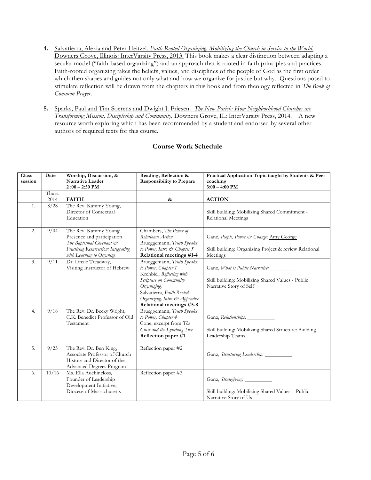- **4.** Salvatierra, Alexia and Peter Heitzel. *Faith-Rooted Organizing: Mobilizing the Church in Service to the World*. Downers Grove, Illinois: InterVarsity Press, 2013. This book makes a clear distinction between adapting a secular model ("faith-based organizing") and an approach that is rooted in faith principles and practices. Faith-rooted organizing takes the beliefs, values, and disciplines of the people of God as the first order which then shapes and guides not only what and how we organize for justice but why. Questions posed to stimulate reflection will be drawn from the chapters in this book and from theology reflected in *The Book of Common Prayer*.
- **5.** Sparks, Paul and Tim Soerens and Dwight J. Friesen. *The New Parish: How Neighborhhood Churches are Transforming Mission, Discipleship and Community.* Downers Grove, IL: InterVarsity Press, 2014. A new resource worth exploring which has been recommended by a student and endorsed by several other authors of required texts for this course.

# **Course Work Schedule**

| Class<br>session | Date   | Worship, Discussion, &<br><b>Narrative Leader</b>                                                                                                   | Reading, Reflection &<br><b>Responsibility to Prepare</b>                                                                                                                                                       | Practical Application Topic taught by Students & Peer<br>coaching                                                       |
|------------------|--------|-----------------------------------------------------------------------------------------------------------------------------------------------------|-----------------------------------------------------------------------------------------------------------------------------------------------------------------------------------------------------------------|-------------------------------------------------------------------------------------------------------------------------|
|                  |        | $2:00 - 2:50$ PM                                                                                                                                    |                                                                                                                                                                                                                 | $3:00 - 4:00$ PM                                                                                                        |
|                  | Thurs. |                                                                                                                                                     |                                                                                                                                                                                                                 |                                                                                                                         |
|                  | 2014   | <b>FAITH</b>                                                                                                                                        | $\&$                                                                                                                                                                                                            | <b>ACTION</b>                                                                                                           |
| 1.               | 8/28   | The Rev. Kammy Young,<br>Director of Contextual<br>Education                                                                                        |                                                                                                                                                                                                                 | Skill building: Mobilizing Shared Commitment -<br><b>Relational Meetings</b>                                            |
| 2.               | 9/04   | The Rev. Kammy Young<br>Presence and participation<br>The Baptismal Covenant &<br>Practicing Resurrection: Integrating<br>with Learning to Organize | Chambers, The Power of<br>Relational Action<br>Brueggemann, Truth Speaks<br>to Power, Intro & Chapter 5<br>Relational meetings #1-4                                                                             | Ganz, People, Power & Change: Amy George<br>Skill building: Organizing Project & review Relational<br>Meetings          |
| 3.               | 9/11   | Dr. Linzie Treadway,<br>Visiting Instructor of Hebrew                                                                                               | Brueggemann, Truth Speaks<br>to Power, Chapter 1<br>Krehbiel, Reflecting with<br>Scripture on Community<br>Organizing.<br>Salvatierra, Faith-Rooted<br>Organizing, Intro & Appendix<br>Relational meetings #5-8 | Ganz, <i>What is Public Narrative</i> :<br>Skill building: Mobilizing Shared Values - Public<br>Narrative Story of Self |
| 4.               | 9/18   | The Rev. Dr. Becky Wright,<br>C.K. Benedict Professor of Old<br>Testament                                                                           | Brueggemann, Truth Speaks<br>to Power, Chapter 4<br>Cone, excerpt from The<br>Cross and the Lynching Tree<br>Reflection paper #1                                                                                | Ganz, Relationships:<br>Skill building: Mobilizing Shared Structure: Building<br>Leadership Teams                       |
| 5.               | 9/25   | The Rev. Dr. Ben King,<br>Associate Professor of Church<br>History and Director of the<br>Advanced Degrees Program                                  | Reflection paper #2                                                                                                                                                                                             |                                                                                                                         |
| 6.               | 10/16  | Ms. Ella Auchincloss,<br>Founder of Leadership<br>Development Initiative,<br>Diocese of Massachusetts                                               | Reflection paper #3                                                                                                                                                                                             | Ganz, Strategizing:<br>Skill building: Mobilizing Shared Values - Public<br>Narrative Story of Us                       |